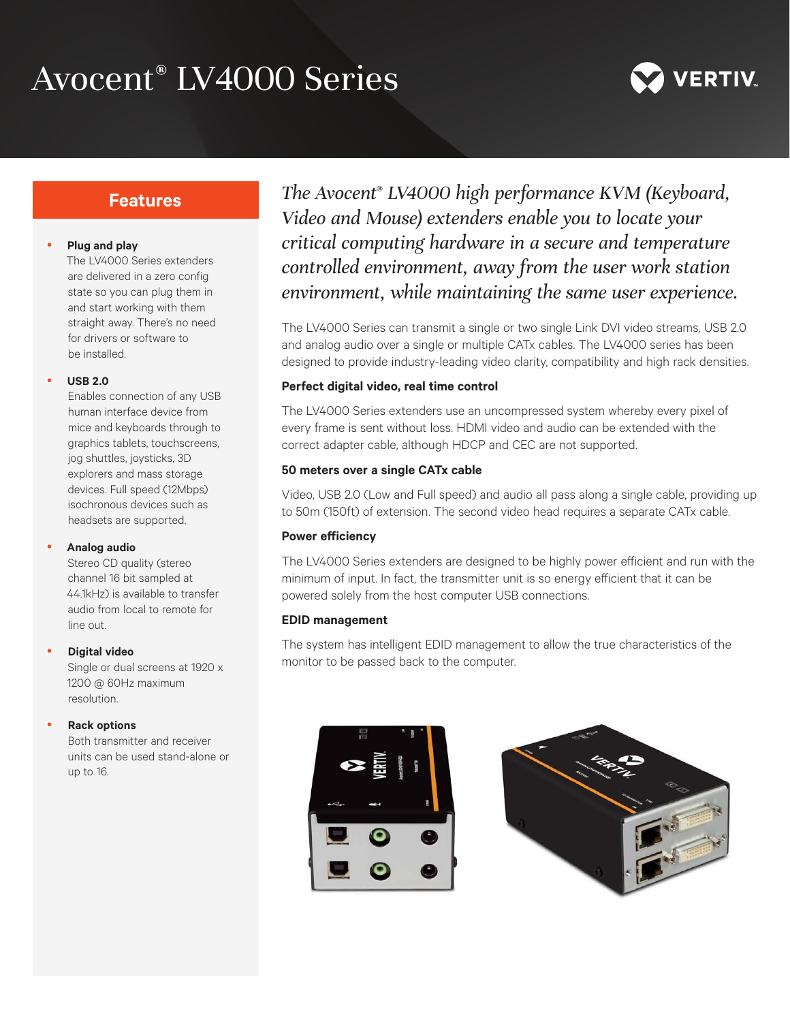# Avocent® LV4000 Series



# **Features**

### y **Plug and play**

The LV4000 Series extenders are delivered in a zero config state so you can plug them in and start working with them straight away. There's no need for drivers or software to be installed.

#### y **USB 2.0**

Enables connection of any USB human interface device from mice and keyboards through to graphics tablets, touchscreens, jog shuttles, joysticks, 3D explorers and mass storage devices. Full speed (12Mbps) isochronous devices such as headsets are supported.

#### **Analog audio**

Stereo CD quality (stereo channel 16 bit sampled at 44.1kHz) is available to transfer audio from local to remote for line out.

## **Digital video**

Single or dual screens at 1920 x 1200 @ 60Hz maximum resolution.

## **Rack options**

Both transmitter and receiver units can be used stand-alone or up to 16.

*The Avocent® LV4000 high performance KVM (Keyboard, Video and Mouse) extenders enable you to locate your critical computing hardware in a secure and temperature controlled environment, away from the user work station environment, while maintaining the same user experience.*

The LV4000 Series can transmit a single or two single Link DVI video streams, USB 2.0 and analog audio over a single or multiple CATx cables. The LV4000 series has been designed to provide industry-leading video clarity, compatibility and high rack densities.

# **Perfect digital video, real time control**

The LV4000 Series extenders use an uncompressed system whereby every pixel of every frame is sent without loss. HDMI video and audio can be extended with the correct adapter cable, although HDCP and CEC are not supported.

# **50 meters over a single CATx cable**

Video, USB 2.0 (Low and Full speed) and audio all pass along a single cable, providing up to 50m (150ft) of extension. The second video head requires a separate CATx cable.

# **Power efficiency**

The LV4000 Series extenders are designed to be highly power efficient and run with the minimum of input. In fact, the transmitter unit is so energy efficient that it can be powered solely from the host computer USB connections.

## **EDID management**

The system has intelligent EDID management to allow the true characteristics of the monitor to be passed back to the computer.